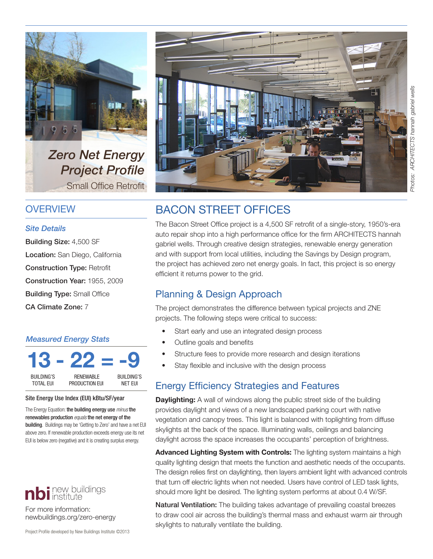

*Zero Net Energy Project Profile* Small Office Retrofit

### **OVERVIEW**

#### *Site Details*

Building Size: 4,500 SF Location: San Diego, California Construction Type: Retrofit Construction Year: 1955, 2009 Building Type: Small Office CA Climate Zone: 7

#### *Measured Energy Stats*

| <b>BUILDING'S</b> | <b>RENEWABLE</b> | <b>BUILDING'S</b> |
|-------------------|------------------|-------------------|
| TOTAI FIJI        | PRODUCTION EUI   | NFT FUL           |

#### Site Energy Use Index (EUI) kBtu/SF/year

The Energy Equation: the building energy use *minus* the renewables production *equals* the net energy of the **building.** Buildings may be 'Getting to Zero' and have a net EUI above zero. If renewable production exceeds energy use its net EUI is below zero (negative) and it is creating surplus energy.



For more information: newbuildings.org/zero-energy

Project Profile developed by New Buildings Institute ©2013



# BACON STREET OFFICES

The Bacon Street Office project is a 4,500 SF retrofit of a single-story, 1950's-era auto repair shop into a high performance office for the firm ARCHITECTS hannah gabriel wells. Through creative design strategies, renewable energy generation and with support from local utilities, including the Savings by Design program, the project has achieved zero net energy goals. In fact, this project is so energy efficient it returns power to the grid.

## Planning & Design Approach

The project demonstrates the difference between typical projects and ZNE projects. The following steps were critical to success:

- Start early and use an integrated design process
- Outline goals and benefits
- Structure fees to provide more research and design iterations
- Stay flexible and inclusive with the design process

## Energy Efficiency Strategies and Features

**Daylighting:** A wall of windows along the public street side of the building provides daylight and views of a new landscaped parking court with native vegetation and canopy trees. This light is balanced with toplighting from diffuse skylights at the back of the space. Illuminating walls, ceilings and balancing daylight across the space increases the occupants' perception of brightness.

**Advanced Lighting System with Controls:** The lighting system maintains a high quality lighting design that meets the function and aesthetic needs of the occupants. The design relies first on daylighting, then layers ambient light with advanced controls that turn off electric lights when not needed. Users have control of LED task lights, should more light be desired. The lighting system performs at about 0.4 W/SF.

Natural Ventilation: The building takes advantage of prevailing coastal breezes to draw cool air across the building's thermal mass and exhaust warm air through skylights to naturally ventilate the building.